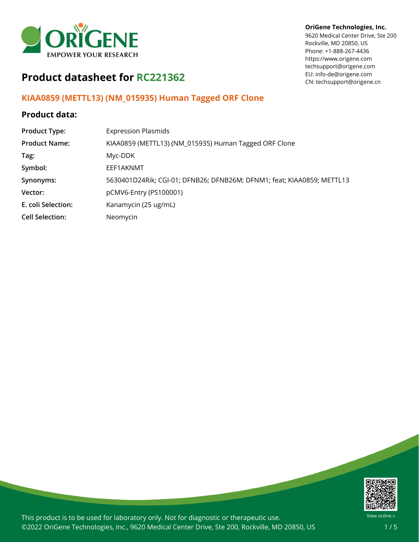

### **OriGene Technologies, Inc.**

9620 Medical Center Drive, Ste 200 Rockville, MD 20850, US Phone: +1-888-267-4436 https://www.origene.com techsupport@origene.com EU: info-de@origene.com CN: techsupport@origene.cn

# **Product datasheet for RC221362**

### **KIAA0859 (METTL13) (NM\_015935) Human Tagged ORF Clone**

### **Product data:**

| <b>Product Type:</b>   | <b>Expression Plasmids</b>                                             |
|------------------------|------------------------------------------------------------------------|
| <b>Product Name:</b>   | KIAA0859 (METTL13) (NM_015935) Human Tagged ORF Clone                  |
| Tag:                   | Myc-DDK                                                                |
| Symbol:                | EEF1AKNMT                                                              |
| Synonyms:              | 5630401D24Rik; CGI-01; DFNB26; DFNB26M; DFNM1; feat; KIAA0859; METTL13 |
| Vector:                | pCMV6-Entry (PS100001)                                                 |
| E. coli Selection:     | Kanamycin (25 ug/mL)                                                   |
| <b>Cell Selection:</b> | Neomycin                                                               |



This product is to be used for laboratory only. Not for diagnostic or therapeutic use. ©2022 OriGene Technologies, Inc., 9620 Medical Center Drive, Ste 200, Rockville, MD 20850, US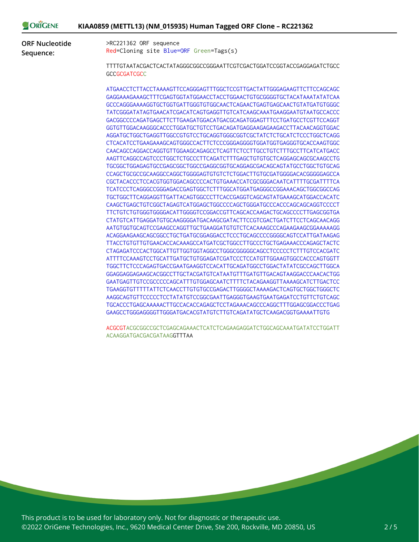| :NE |  |  | KIAA0859 (METTL13) (NM_015935) Human Tagged ORF Clone - RC221362 |
|-----|--|--|------------------------------------------------------------------|
|-----|--|--|------------------------------------------------------------------|

**ORF Nucleotide Sequence:**

ORIGI

>RC221362 ORF sequence Red=Cloning site Blue=ORF Green=Tags(s)

TTTTGTAATACGACTCACTATAGGGCGGCCGGGAATTCGTCGACTGGATCCGGTACCGAGGAGATCTGCC **GCCGCGATCGCC** 

ATGAACCTCTTACCTAAAAGTTCCAGGGAGTTTGGCTCCGTTGACTATTGGGAGAAGTTCTTCCAGCAGC GAGGAAAGAAAGCTTTCGAGTGGTATGGAACCTACCTGGAACTGTGCGGGGTGCTACATAAATATATCAA GCCCAGGGAAAAGGTGCTGGTGATTGGGTGTGGCAACTCAGAACTGAGTGAGCAACTGTATGATGTGGGC TATCGGGATATAGTGAACATCGACATCAGTGAGGTTGTCATCAAGCAAATGAAGGAATGTAATGCCACCC GACGGCCCCAGATGAGCTTCTTGAAGATGGACATGACGCAGATGGAGTTTCCTGATGCCTCGTTCCAGGT GGTGTTGGACAAGGGCACCCTGGATGCTGTCCTGACAGATGAGGAAGAGAAGACCTTACAACAGGTGGAC AGGATGCTGGCTGAGGTTGGCCGTGTCCTGCAGGTGGGCGGTCGCTATCTCTGCATCTCCCTGGCTCAGG CTCACATCCTGAAGAAAGCAGTGGGCCACTTCTCCCGGGAGGGGTGGATGGTGAGGGTGCACCAAGTGGC CAACAGCCAGGACCAGGTGTTGGAAGCAGAGCCTCAGTTCTCCTTGCCTGTCTTTGCCTTCATCATGACC AAGTTCAGGCCAGTCCCTGGCTCTGCCCTTCAGATCTTTGAGCTGTGTGCTCAGGAGCAGCGCAAGCCTG TGCGGCTGGAGAGTGCCGAGCGGCTGGCCGAGGCGGTGCAGGAGCGACAGCAGTATGCCTGGCTGTGCAG CCAGCTGCGCCGCAAGGCCAGGCTGGGGAGTGTGTCTCTGGACTTGTGCGATGGGGACACGGGGGAGCCA CGCTACACCCTCCACGTGGTGGACAGCCCCACTGTGAAACCATCGCGGGACAATCATTTTGCGATTTTCA TCATCCCTCAGGGCCGGGAGACCGAGTGGCTCTTTGGCATGGATGAGGGCCGGAAACAGCTGGCGGCCAG TGCTGGCTTCAGGAGGTTGATTACAGTGGCCCTTCACCGAGGTCAGCAGTATGAAAGCATGGACCACATC CAAGCTGAGCTGTCGGCTAGAGTCATGGAGCTGGCCCCAGCTGGGATGCCCACCCAGCAGCAGGTCCCCT TTCTGTCTGTGGGTGGGGACATTGGGGTCCGGACCGTTCAGCACCAAGACTGCAGCCCCTTGAGCGGTGA CTATGTCATTGAGGATGTGCAAGGGGATGACAAGCGATACTTCCGTCGACTGATCTTCCTCAGCAACAGG AATGTGGTGCAGTCCGAAGCCAGGTTGCTGAAGGATGTGTCTCACAAAGCCCAGAAGAAGCGGAAAAAGG ACAGGAAGAAGCAGCGGCCTGCTGATGCGGAGGACCTCCCTGCAGCCCCGGGGCAGTCCATTGATAAGAG TTACCTGTGTTGTGAACACCACAAAGCCATGATCGCTGGCCTTGCCCTGCTGAGAAACCCAGAGCTACTC CTAGAGATCCCACTGGCATTGTTGGTGGTAGGCCTGGGCGGGGGCAGCCTCCCCCTCTTTGTCCACGATC ATTTTCCAAAGTCCTGCATTGATGCTGTGGAGATCGATCCCTCCATGTTGGAAGTGGCCACCCAGTGGTT TGGCTTCTCCCAGAGTGACCGAATGAAGGTCCACATTGCAGATGGCCTGGACTATATCGCCAGCTTGGCA GGAGGAGGAGAAGCACGGCCTTGCTACGATGTCATAATGTTTGATGTTGACAGTAAGGACCCAACACTGG GAATGAGTTGTCCGCCCCCAGCATTTGTGGAGCAATCTTTTCTACAGAAGGTTAAAAGCATCTTGACTCC TGAAGGTGTTTTTATTCTCAACCTTGTGTGCCGAGACTTGGGGCTAAAAGACTCAGTGCTGGCTGGGCTC AAGGCAGTGTTCCCCCTCCTATATGTCCGGCGAATTGAGGGTGAAGTGAATGAGATCCTGTTCTGTCAGC TGCACCCTGAGCAAAAACTTGCCACACCAGAGCTCCTAGAAACAGCCCAGGCTTTGGAGCGGACCCTGAG GAAGCCTGGGAGGGGTTGGGATGACACGTATGTCTTGTCAGATATGCTCAAGACGGTGAAAATTGTG

ACGCGTACGCGGCCGCTCGAGCAGAAACTCATCTCAGAAGAGGATCTGGCAGCAAATGATATCCTGGATT ACAAGGATGACGACGATAAGGTTTAA

This product is to be used for laboratory only. Not for diagnostic or therapeutic use. ©2022 OriGene Technologies, Inc., 9620 Medical Center Drive, Ste 200, Rockville, MD 20850, US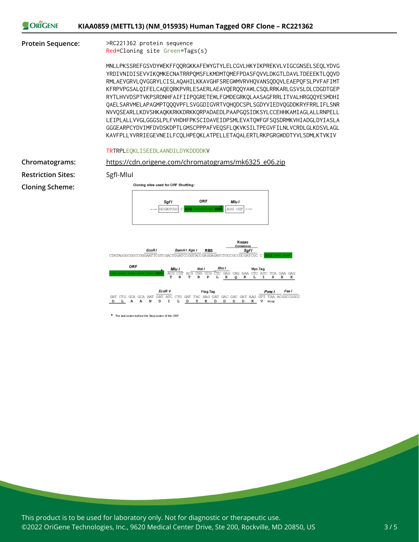

#### **Protein Sequence:** >RC221362 protein sequence

Red=Cloning site Green=Tags(s)

MNLLPKSSREFGSVDYWEKFFQQRGKKAFEWYGTYLELCGVLHKYIKPREKVLVIGCGNSELSEQLYDVG YRDIVNIDISEVVIKQMKECNATRRPQMSFLKMDMTQMEFPDASFQVVLDKGTLDAVLTDEEEKTLQQVD RMLAEVGRVLQVGGRYLCISLAQAHILKKAVGHFSREGWMVRVHQVANSQDQVLEAEPQFSLPVFAFIMT KFRPVPGSALQIFELCAQEQRKPVRLESAERLAEAVQERQQYAWLCSQLRRKARLGSVSLDLCDGDTGEP RYTLHVVDSPTVKPSRDNHFAIFIIPQGRETEWLFGMDEGRKQLAASAGFRRLITVALHRGQQYESMDHI QAELSARVMELAPAGMPTQQQVPFLSVGGDIGVRTVQHQDCSPLSGDYVIEDVQGDDKRYFRRLIFLSNR NVVQSEARLLKDVSHKAQKKRKKDRKKQRPADAEDLPAAPGQSIDKSYLCCEHHKAMIAGLALLRNPELL LEIPLALLVVGLGGGSLPLFVHDHFPKSCIDAVEIDPSMLEVATQWFGFSQSDRMKVHIADGLDYIASLA GGGEARPCYDVIMFDVDSKDPTLGMSCPPPAFVEQSFLQKVKSILTPEGVFILNLVCRDLGLKDSVLAGL KAVFPLLYVRRIEGEVNEILFCQLHPEQKLATPELLETAQALERTLRKPGRGWDDTYVLSDMLKTVKIV

#### TRTRPLEQKLISEEDLAANDILDYKDDDDKV

**Chromatograms:** [https://cdn.origene.com/chromatograms/mk6325\\_e06.zip](https://cdn.origene.com/chromatograms/mk6325_e06.zip) **Restriction Sites:** SgfI-MluI **Cloning Scheme:**

Cloning sites used for ORF Shuttling: Sgfl ORF Mlu I **SCGATOGO** ACG CGT Kozac Consens EcoR1 BamHI Kpn I **RBS** Sgfl CTATAGGGGGGGGGGAATTCGTCGACTGGATCCGGTACCGAGGAGATCTGCCGCCGC ORF Mlu I Xho I Not I FIC GAG CAG AAA CIC ATC TGG<br>R TCA GAA GAG  $\overline{\mathbf{R}}$ EcoR V Fse I  $L$  A A N  $\mathbf D$  $\mathbf{I}$  $L$   $D$ Y  $\,$  K D. D D D K V stop  $\overline{D}$ 

\* The last codon before the Stop codon of the ORF

This product is to be used for laboratory only. Not for diagnostic or therapeutic use. ©2022 OriGene Technologies, Inc., 9620 Medical Center Drive, Ste 200, Rockville, MD 20850, US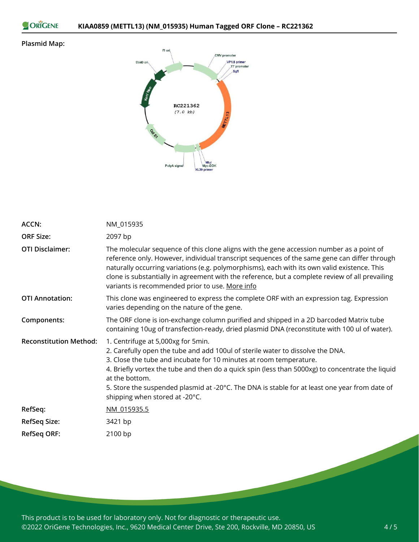```
ORIGENE
```
### **Plasmid Map:**



| <b>ACCN:</b>                  | NM_015935                                                                                                                                                                                                                                                                                                                                                                                                                                           |
|-------------------------------|-----------------------------------------------------------------------------------------------------------------------------------------------------------------------------------------------------------------------------------------------------------------------------------------------------------------------------------------------------------------------------------------------------------------------------------------------------|
| <b>ORF Size:</b>              | 2097 bp                                                                                                                                                                                                                                                                                                                                                                                                                                             |
| <b>OTI Disclaimer:</b>        | The molecular sequence of this clone aligns with the gene accession number as a point of<br>reference only. However, individual transcript sequences of the same gene can differ through<br>naturally occurring variations (e.g. polymorphisms), each with its own valid existence. This<br>clone is substantially in agreement with the reference, but a complete review of all prevailing<br>variants is recommended prior to use. More info      |
| <b>OTI Annotation:</b>        | This clone was engineered to express the complete ORF with an expression tag. Expression<br>varies depending on the nature of the gene.                                                                                                                                                                                                                                                                                                             |
| Components:                   | The ORF clone is ion-exchange column purified and shipped in a 2D barcoded Matrix tube<br>containing 10ug of transfection-ready, dried plasmid DNA (reconstitute with 100 ul of water).                                                                                                                                                                                                                                                             |
| <b>Reconstitution Method:</b> | 1. Centrifuge at 5,000xg for 5min.<br>2. Carefully open the tube and add 100ul of sterile water to dissolve the DNA.<br>3. Close the tube and incubate for 10 minutes at room temperature.<br>4. Briefly vortex the tube and then do a quick spin (less than 5000xg) to concentrate the liquid<br>at the bottom.<br>5. Store the suspended plasmid at -20°C. The DNA is stable for at least one year from date of<br>shipping when stored at -20°C. |
| RefSeq:                       | NM 015935.5                                                                                                                                                                                                                                                                                                                                                                                                                                         |
| <b>RefSeq Size:</b>           | 3421 bp                                                                                                                                                                                                                                                                                                                                                                                                                                             |
| <b>RefSeq ORF:</b>            | 2100 bp                                                                                                                                                                                                                                                                                                                                                                                                                                             |

This product is to be used for laboratory only. Not for diagnostic or therapeutic use. ©2022 OriGene Technologies, Inc., 9620 Medical Center Drive, Ste 200, Rockville, MD 20850, US